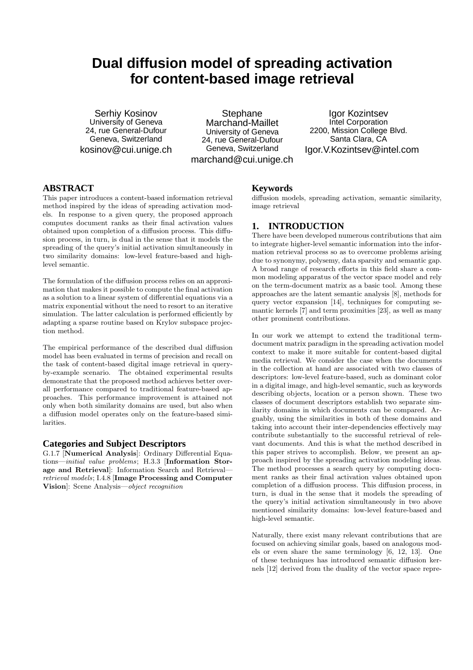# **Dual diffusion model of spreading activation for content-based image retrieval**

Serhiy Kosinov University of Geneva 24. rue General-Dufour Geneva, Switzerland kosinov@cui.unige.ch

**Stephane** Marchand-Maillet University of Geneva 24, rue General-Dufour Geneva, Switzerland marchand@cui.unige.ch

Igor Kozintsev Intel Corporation 2200, Mission College Blvd. Santa Clara, CA Igor.V.Kozintsev@intel.com

# **ABSTRACT**

This paper introduces a content-based information retrieval method inspired by the ideas of spreading activation models. In response to a given query, the proposed approach computes document ranks as their final activation values obtained upon completion of a diffusion process. This diffusion process, in turn, is dual in the sense that it models the spreading of the query's initial activation simultaneously in two similarity domains: low-level feature-based and highlevel semantic.

The formulation of the diffusion process relies on an approximation that makes it possible to compute the final activation as a solution to a linear system of differential equations via a matrix exponential without the need to resort to an iterative simulation. The latter calculation is performed efficiently by adapting a sparse routine based on Krylov subspace projection method.

The empirical performance of the described dual diffusion model has been evaluated in terms of precision and recall on the task of content-based digital image retrieval in queryby-example scenario. The obtained experimental results demonstrate that the proposed method achieves better overall performance compared to traditional feature-based approaches. This performance improvement is attained not only when both similarity domains are used, but also when a diffusion model operates only on the feature-based similarities.

#### **Categories and Subject Descriptors**

G.1.7 [Numerical Analysis]: Ordinary Differential Equations—initial value problems; H.3.3 [Information Storage and Retrieval]: Information Search and Retrieval retrieval models; I.4.8 [Image Processing and Computer Vision]: Scene Analysis—object recognition

#### **Keywords**

diffusion models, spreading activation, semantic similarity, image retrieval

## **1. INTRODUCTION**

There have been developed numerous contributions that aim to integrate higher-level semantic information into the information retrieval process so as to overcome problems arising due to synonymy, polysemy, data sparsity and semantic gap. A broad range of research efforts in this field share a common modeling apparatus of the vector space model and rely on the term-document matrix as a basic tool. Among these approaches are the latent semantic analysis [8], methods for query vector expansion [14], techniques for computing semantic kernels [7] and term proximities [23], as well as many other prominent contributions.

In our work we attempt to extend the traditional termdocument matrix paradigm in the spreading activation model context to make it more suitable for content-based digital media retrieval. We consider the case when the documents in the collection at hand are associated with two classes of descriptors: low-level feature-based, such as dominant color in a digital image, and high-level semantic, such as keywords describing objects, location or a person shown. These two classes of document descriptors establish two separate similarity domains in which documents can be compared. Arguably, using the similarities in both of these domains and taking into account their inter-dependencies effectively may contribute substantially to the successful retrieval of relevant documents. And this is what the method described in this paper strives to accomplish. Below, we present an approach inspired by the spreading activation modeling ideas. The method processes a search query by computing document ranks as their final activation values obtained upon completion of a diffusion process. This diffusion process, in turn, is dual in the sense that it models the spreading of the query's initial activation simultaneously in two above mentioned similarity domains: low-level feature-based and high-level semantic.

Naturally, there exist many relevant contributions that are focused on achieving similar goals, based on analogous models or even share the same terminology [6, 12, 13]. One of these techniques has introduced semantic diffusion kernels [12] derived from the duality of the vector space repre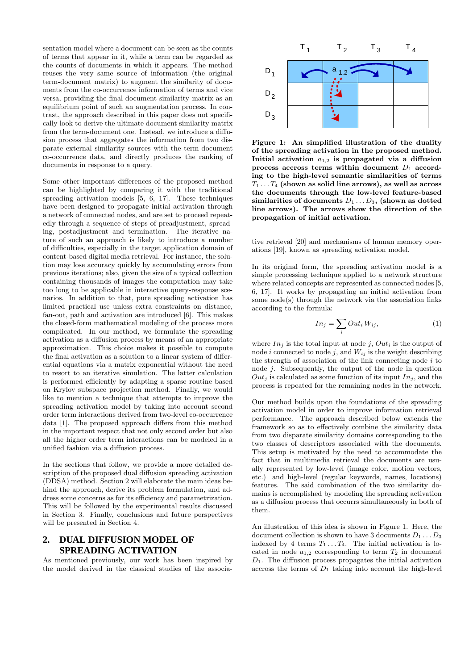sentation model where a document can be seen as the counts of terms that appear in it, while a term can be regarded as the counts of documents in which it appears. The method reuses the very same source of information (the original term-document matrix) to augment the similarity of documents from the co-occurrence information of terms and vice versa, providing the final document similarity matrix as an equilibrium point of such an augmentation process. In contrast, the approach described in this paper does not specifically look to derive the ultimate document similarity matrix from the term-document one. Instead, we introduce a diffusion process that aggregates the information from two disparate external similarity sources with the term-document co-occurrence data, and directly produces the ranking of documents in response to a query.

Some other important differences of the proposed method can be highlighted by comparing it with the traditional spreading activation models [5, 6, 17]. These techniques have been designed to propagate initial activation through a network of connected nodes, and are set to proceed repeatedly through a sequence of steps of preadjustment, spreading, postadjustment and termination. The iterative nature of such an approach is likely to introduce a number of difficulties, especially in the target application domain of content-based digital media retrieval. For instance, the solution may lose accuracy quickly by accumulating errors from previous iterations; also, given the size of a typical collection containing thousands of images the computation may take too long to be applicable in interactive query-response scenarios. In addition to that, pure spreading activation has limited practical use unless extra constraints on distance, fan-out, path and activation are introduced [6]. This makes the closed-form mathematical modeling of the process more complicated. In our method, we formulate the spreading activation as a diffusion process by means of an appropriate approximation. This choice makes it possible to compute the final activation as a solution to a linear system of differential equations via a matrix exponential without the need to resort to an iterative simulation. The latter calculation is performed efficiently by adapting a sparse routine based on Krylov subspace projection method. Finally, we would like to mention a technique that attempts to improve the spreading activation model by taking into account second order term interactions derived from two-level co-occurrence data [1]. The proposed approach differs from this method in the important respect that not only second order but also all the higher order term interactions can be modeled in a unified fashion via a diffusion process.

In the sections that follow, we provide a more detailed description of the proposed dual diffusion spreading activation (DDSA) method. Section 2 will elaborate the main ideas behind the approach, derive its problem formulation, and address some concerns as for its efficiency and parametrization. This will be followed by the experimental results discussed in Section 3. Finally, conclusions and future perspectives will be presented in Section 4.

## **2. DUAL DIFFUSION MODEL OF SPREADING ACTIVATION**

As mentioned previously, our work has been inspired by the model derived in the classical studies of the associa-



Figure 1: An simplified illustration of the duality of the spreading activation in the proposed method. Initial activation  $a_{1,2}$  is propagated via a diffusion process accross terms within document  $D_1$  according to the high-level semantic similarities of terms  $T_1 \ldots T_4$  (shown as solid line arrows), as well as across the documents through the low-level feature-based similarities of documents  $D_1 \ldots D_3$ , (shown as dotted line arrows). The arrows show the direction of the propagation of initial activation.

tive retrieval [20] and mechanisms of human memory operations [19], known as spreading activation model.

In its original form, the spreading activation model is a simple processing technique applied to a network structure where related concepts are represented as connected nodes [5, 6, 17]. It works by propagating an initial activation from some node(s) through the network via the association links according to the formula:

$$
In_j = \sum_i Out_i W_{ij},\tag{1}
$$

where  $In_j$  is the total input at node j,  $Out_i$  is the output of node i connected to node j, and  $W_{ij}$  is the weight describing the strength of association of the link connecting node  $i$  to node j. Subsequently, the output of the node in question  $Out_i$  is calculated as some function of its input  $In_i$ , and the process is repeated for the remaining nodes in the network.

Our method builds upon the foundations of the spreading activation model in order to improve information retrieval performance. The approach described below extends the framework so as to effectively combine the similarity data from two disparate similarity domains corresponding to the two classes of descriptors associated with the documents. This setup is motivated by the need to accommodate the fact that in multimedia retrieval the documents are usually represented by low-level (image color, motion vectors, etc.) and high-level (regular keywords, names, locations) features. The said combination of the two similarity domains is accomplished by modeling the spreading activation as a diffusion process that occurrs simultaneously in both of them.

An illustration of this idea is shown in Figure 1. Here, the document collection is shown to have 3 documents  $D_1 \ldots D_3$ indexed by 4 terms  $T_1 \ldots T_4$ . The initial activation is located in node  $a_{1,2}$  corresponding to term  $T_2$  in document  $D_1$ . The diffusion process propagates the initial activation accross the terms of  $D_1$  taking into account the high-level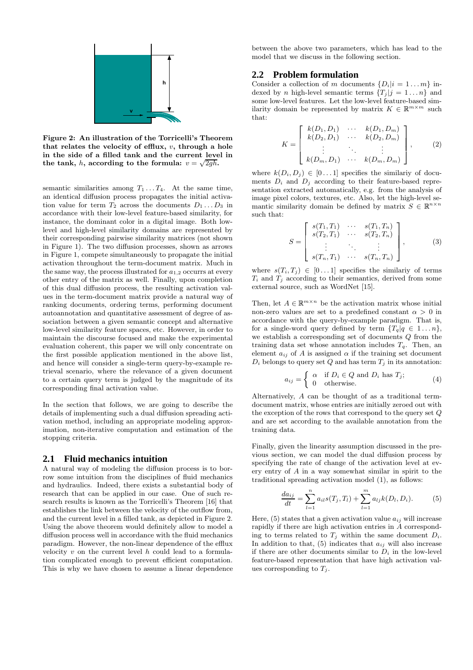

Figure 2: An illustration of the Torricelli's Theorem that relates the velocity of efflux,  $v$ , through a hole in the side of a filled tank and the current level in the tank, h, according to the formula:  $v = \sqrt{2gh}$ .

semantic similarities among  $T_1 \ldots T_4$ . At the same time, an identical diffusion process propagates the initial activation value for term  $T_2$  across the documents  $D_1 \dots D_3$  in accordance with their low-level feature-based similarity, for instance, the dominant color in a digital image. Both lowlevel and high-level similarity domains are represented by their corresponding pairwise similarity matrices (not shown in Figure 1). The two diffusion processes, shown as arrows in Figure 1, compete simultaneously to propagate the initial activation throughout the term-document matrix. Much in the same way, the process illustrated for  $a_{1,2}$  occurrs at every other entry of the matrix as well. Finally, upon completion of this dual diffusion process, the resulting activation values in the term-document matrix provide a natural way of ranking documents, ordering terms, performing document autoannotation and quantitative assessment of degree of association between a given semantic concept and alternative low-level similarity feature spaces, etc. However, in order to maintain the discourse focused and make the experimental evaluation coherent, this paper we will only concentrate on the first possible application mentioned in the above list, and hence will consider a single-term query-by-example retrieval scenario, where the relevance of a given document to a certain query term is judged by the magnitude of its corresponding final activation value.

In the section that follows, we are going to describe the details of implementing such a dual diffusion spreading activation method, including an appropriate modeling approximation, non-iterative computation and estimation of the stopping criteria.

#### **2.1 Fluid mechanics intuition**

A natural way of modeling the diffusion process is to borrow some intuition from the disciplines of fluid mechanics and hydraulics. Indeed, there exists a substantial body of research that can be applied in our case. One of such research results is known as the Torricelli's Theorem [16] that establishes the link between the velocity of the outflow from, and the current level in a filled tank, as depicted in Figure 2. Using the above theorem would definitely allow to model a diffusion process well in accordance with the fluid mechanics paradigm. However, the non-linear dependence of the efflux velocity  $v$  on the current level  $h$  could lead to a formulation complicated enough to prevent efficient computation. This is why we have chosen to assume a linear dependence between the above two parameters, which has lead to the model that we discuss in the following section.

#### **2.2 Problem formulation**

Consider a collection of m documents  $\{D_i|i=1...m\}$  indexed by *n* high-level semantic terms  $\{T_i | j = 1...n\}$  and some low-level features. Let the low-level feature-based similarity domain be represented by matrix  $K \in \mathbb{R}^{m \times m}$  such that:

$$
K = \begin{bmatrix} k(D_1, D_1) & \cdots & k(D_1, D_m) \\ k(D_2, D_1) & \cdots & k(D_2, D_m) \\ \vdots & \ddots & \vdots \\ k(D_m, D_1) & \cdots & k(D_m, D_m) \end{bmatrix},
$$
 (2)

where  $k(D_i, D_j) \in [0 \dots 1]$  specifies the similarly of documents  $D_i$  and  $D_j$  according to their feature-based representation extracted automatically, e.g. from the analysis of image pixel colors, textures, etc. Also, let the high-level semantic similarity domain be defined by matrix  $S \in \mathbb{R}^{n \times n}$ such that:

$$
S = \begin{bmatrix} s(T_1, T_1) & \cdots & s(T_1, T_n) \\ s(T_2, T_1) & \cdots & s(T_2, T_n) \\ \vdots & \ddots & \vdots \\ s(T_n, T_1) & \cdots & s(T_n, T_n) \end{bmatrix}, \tag{3}
$$

where  $s(T_i, T_j) \in [0 \dots 1]$  specifies the similariy of terms  $T_i$  and  $T_j$  according to their semantics, derived from some external source, such as WordNet [15].

Then, let  $A \in \mathbb{R}^{m \times n}$  be the activation matrix whose initial non-zero values are set to a predefined constant  $\alpha > 0$  in accordance with the query-by-example paradigm. That is, for a single-word query defined by term  $\{T_q | q \in 1...n\},\$ we establish a corresponding set of documents Q from the training data set whose annotation includes  $T_q$ . Then, an element  $a_{ij}$  of A is assigned  $\alpha$  if the training set document  $D_i$  belongs to query set Q and has term  $T_i$  in its annotation:

$$
a_{ij} = \begin{cases} \alpha & \text{if } D_i \in Q \text{ and } D_i \text{ has } T_j; \\ 0 & \text{otherwise.} \end{cases} \tag{4}
$$

Alternatively, A can be thought of as a traditional termdocument matrix, whose entries are initially zeroed out with the exception of the rows that correspond to the query set  $Q$ and are set according to the available annotation from the training data.

Finally, given the linearity assumption discussed in the previous section, we can model the dual diffusion process by specifying the rate of change of the activation level at every entry of A in a way somewhat similar in spirit to the traditional spreading activation model (1), as follows:

$$
\frac{da_{ij}}{dt} = \sum_{l=1}^{n} a_{il} s(T_j, T_l) + \sum_{l=1}^{m} a_{lj} k(D_l, D_i).
$$
 (5)

Here, (5) states that a given activation value  $a_{ij}$  will increase rapidly if there are high activation entries in A corresponding to terms related to  $T_j$  within the same document  $D_i$ . In addition to that,  $(5)$  indicates that  $a_{ij}$  will also increase if there are other documents similar to  $D_i$  in the low-level feature-based representation that have high activation values corresponding to  $T_i$ .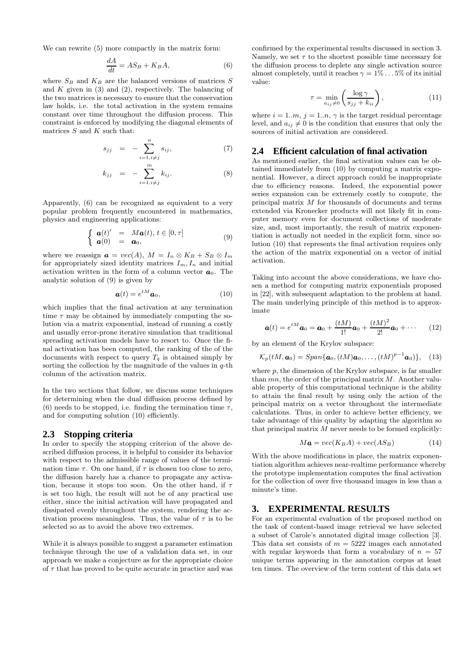We can rewrite (5) more compactly in the matrix form:

$$
\frac{dA}{dt} = AS_B + K_B A,\tag{6}
$$

where  $S_B$  and  $K_B$  are the balanced versions of matrices S and  $K$  given in (3) and (2), respectively. The balancing of the two matrices is necessary to ensure that the conservation law holds, i.e. the total activation in the system remains constant over time throughout the diffusion process. This constraint is enforced by modifying the diagonal elements of matrices  $S$  and  $K$  such that:

$$
s_{jj} = -\sum_{i=1, i\neq j}^{n} s_{ij}, \qquad (7)
$$

$$
k_{jj} = - \sum_{i=1, i \neq j}^{m} k_{ij}.
$$
 (8)

Apparently, (6) can be recognized as equivalent to a very popular problem frequently encountered in mathematics, physics and engineering applications:

$$
\left\{\begin{array}{rcl}\mathbf{a}(t)' &=& M\mathbf{a}(t),\,t\in[0,\tau] \\ \mathbf{a}(0) &=& \mathbf{a}_0,\end{array}\right. \tag{9}
$$

where we reassign  $\mathbf{a} = vec(A), M = I_n \otimes K_B + S_B \otimes I_m$ for appropriately sized identity matrices  $I_m, I_n$  and initial activation written in the form of a column vector  $a_0$ . The analytic solution of (9) is given by

$$
\mathbf{a}(t) = e^{tM}\mathbf{a}_0,\tag{10}
$$

which implies that the final activation at any termination time  $\tau$  may be obtained by immediately computing the solution via a matrix exponential, instead of running a costly and usually error-prone iterative simulation that traditional spreading activation models have to resort to. Once the final activation has been computed, the ranking of the of the documents with respect to query  $T_q$  is obtained simply by sorting the collection by the magnitude of the values in  $q$ -th column of the activation matrix.

In the two sections that follow, we discuss some techniques for determining when the dual diffusion process defined by (6) needs to be stopped, i.e. finding the termination time  $\tau$ , and for computing solution (10) efficiently.

#### **2.3 Stopping criteria**

In order to specify the stopping criterion of the above described diffusion process, it is helpful to consider its behavior with respect to the admissible range of values of the termination time  $\tau$ . On one hand, if  $\tau$  is chosen too close to zero, the diffusion barely has a chance to propagate any activation, because it stops too soon. On the other hand, if  $\tau$ is set too high, the result will not be of any practical use either, since the initial activation will have propagated and dissipated evenly throughout the system, rendering the activation process meaningless. Thus, the value of  $\tau$  is to be selected so as to avoid the above two extremes.

While it is always possible to suggest a parameter estimation technique through the use of a validation data set, in our approach we make a conjecture as for the appropriate choice of  $\tau$  that has proved to be quite accurate in practice and was confirmed by the experimental results discussed in section 3. Namely, we set  $\tau$  to the shortest possible time necessary for the diffusion process to deplete any single activation source almost completely, until it reaches  $\gamma = 1\% \dots 5\%$  of its initial value:

$$
\tau = \min_{a_{ij}\neq 0} \left( \frac{\log \gamma}{s_{jj} + k_{ii}} \right),\tag{11}
$$

where  $i = 1..m$ ,  $j = 1..n$ ,  $\gamma$  is the target residual percentage level, and  $a_{ij} \neq 0$  is the condition that ensures that only the sources of initial activation are considered.

#### **2.4 Efficient calculation of final activation**

As mentioned earlier, the final activation values can be obtained immediately from (10) by computing a matrix exponential. However, a direct approach could be inappropriate due to efficiency reasons. Indeed, the exponential power series expansion can be extremely costly to compute, the principal matrix M for thousands of documents and terms extended via Kronecker products will not likely fit in computer memory even for document collections of moderate size, and, most importantly, the result of matrix exponentiation is actually not needed in the explicit form, since solution (10) that represents the final activation requires only the action of the matrix exponential on a vector of initial activation.

Taking into account the above considerations, we have chosen a method for computing matrix exponentials proposed in [22], with subsequent adaptation to the problem at hand. The main underlying principle of this method is to approximate

$$
\mathbf{a}(t) = e^{tM}\mathbf{a}_0 = \mathbf{a}_0 + \frac{(tM)}{1!}\mathbf{a}_0 + \frac{(tM)^2}{2!}\mathbf{a}_0 + \cdots
$$
 (12)

by an element of the Krylov subspace:

$$
\mathcal{K}_p(tM,\boldsymbol{a}_0)=Span\{\boldsymbol{a}_0,(tM)\boldsymbol{a}_0,\ldots,(tM)^{p-1}\boldsymbol{a}_0)\},\quad (13)
$$

where  $p$ , the dimension of the Krylov subspace, is far smaller than  $mn$ , the order of the principal matrix  $M$ . Another valuable property of this computational technique is the ability to attain the final result by using only the action of the principal matrix on a vector throughout the intermediate calculations. Thus, in order to achieve better efficiency, we take advantage of this quality by adapting the algorithm so that principal matrix  $M$  never needs to be formed explicitly:

$$
M\mathbf{a} = vec(K_B A) + vec(AS_B)
$$
 (14)

With the above modifications in place, the matrix exponentiation algorithm achieves near-realtime performance whereby the prototype implementation computes the final activation for the collection of over five thousand images in less than a minute's time.

#### **3. EXPERIMENTAL RESULTS**

For an experimental evaluation of the proposed method on the task of content-based image retrieval we have selected a subset of Carole's annotated digital image collection [3]. This data set consists of  $m = 5222$  images each annotated with regular keywords that form a vocabulary of  $n = 57$ unique terms appearing in the annotation corpus at least ten times. The overview of the term content of this data set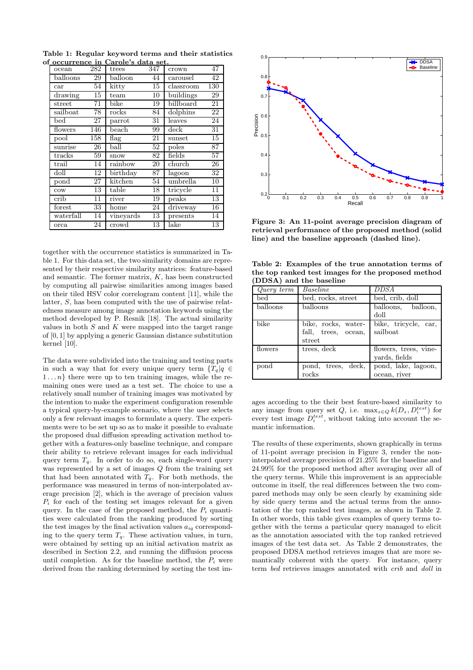Table 1: Regular keyword terms and their statistics of occurrence in Carole's data set.

| ocean           | 282 | trees           | 347 | crown     | 47  |
|-----------------|-----|-----------------|-----|-----------|-----|
| balloons        | 29  | balloon         | 44  | carousel  | 42  |
| car             | 54  | kitty           | 15  | classroom | 130 |
| drawing         | 15  | team            | 10  | buildings | 29  |
| street          | 71  | bike            | 19  | billboard | 21  |
| sailboat        | 78  | rocks           | 84  | dolphins  | 22  |
| $_{\rm bed}$    | 27  | parrot          | 31  | leaves    | 24  |
| flowers         | 146 | beach           | 99  | deck      | 31  |
| pool            | 158 | flag            | 21  | sunset    | 15  |
| sunrise         | 26  | ball            | 52  | poles     | 87  |
| tracks          | 59  | snow            | 82  | fields    | 57  |
| trail           | 14  | rainbow         | 20  | church    | 26  |
| doll            | 12  | $\rm{birthday}$ | 87  | lagoon    | 32  |
| pond            | 27  | kitchen         | 54  | umbrella  | 10  |
| $_{\text{cow}}$ | 13  | table           | 18  | tricycle  | 11  |
| crib            | 11  | river           | 19  | peaks     | 13  |
| forest          | 33  | home            | 24  | driveway  | 16  |
| waterfall       | 14  | vineyards       | 13  | presents  | 14  |
| orca            | 24  | crowd           | 13  | lake      | 13  |

together with the occurrence statistics is summarized in Table 1. For this data set, the two similarity domains are represented by their respective similarity matrices: feature-based and semantic. The former matrix,  $K$ , has been constructed by computing all pairwise similarities among images based on their tiled HSV color correlogram content [11], while the latter, S, has been computed with the use of pairwise relatedness measure among image annotation keywords using the method developed by P. Resnik [18]. The actual similarity values in both  $S$  and  $K$  were mapped into the target range of [0, 1] by applying a generic Gaussian distance substitution kernel [10].

The data were subdivided into the training and testing parts in such a way that for every unique query term  ${T_q | q \in \mathbb{R}^n}$  $1 \ldots n$  there were up to ten training images, while the remaining ones were used as a test set. The choice to use a relatively small number of training images was motivated by the intention to make the experiment configuration resemble a typical query-by-example scenario, where the user selects only a few relevant images to formulate a query. The experiments were to be set up so as to make it possible to evaluate the proposed dual diffusion spreading activation method together with a features-only baseline technique, and compare their ability to retrieve relevant images for each individual query term  $T_q$ . In order to do so, each single-word query was represented by a set of images Q from the training set that had been annotated with  $T_q$ . For both methods, the performance was measured in terms of non-interpolated average precision [2], which is the average of precision values  $P_i$  for each of the testing set images relevant for a given query. In the case of the proposed method, the  $P_i$  quantities were calculated from the ranking produced by sorting the test images by the final activation values  $a_{iq}$  corresponding to the query term  $T_q$ . These activation values, in turn, were obtained by setting up an initial activation matrix as described in Section 2.2, and running the diffusion process until completion. As for the baseline method, the  $P_i$  were derived from the ranking determined by sorting the test im-



Figure 3: An 11-point average precision diagram of retrieval performance of the proposed method (solid line) and the baseline approach (dashed line).

| Table 2: Examples of the true annotation terms of  |
|----------------------------------------------------|
| the top ranked test images for the proposed method |
| (DDSA) and the baseline                            |

| Query term | Baseline                 | <b>DDSA</b>           |  |  |  |
|------------|--------------------------|-----------------------|--|--|--|
| bed        | bed, rocks, street       | bed, crib, doll       |  |  |  |
| balloons   | balloons                 | balloons, balloon,    |  |  |  |
|            |                          | doll                  |  |  |  |
| bike       | bike, rocks, water-      | bike, tricycle, car,  |  |  |  |
|            | fall, trees, ocean,      | sailboat              |  |  |  |
|            | street                   |                       |  |  |  |
| flowers    | trees, $dec\overline{k}$ | flowers, trees, vine- |  |  |  |
|            |                          | yards, fields         |  |  |  |
| pond       | pond, trees, deck,       | pond, lake, lagoon,   |  |  |  |
|            | rocks                    | ocean, river          |  |  |  |

ages according to the their best feature-based similarity to any image from query set  $Q$ , i.e.  $\max_{z \in Q} k(D_z, D_i^{test})$  for every test image  $D_i^{test}$ , without taking into account the semantic information.

The results of these experiments, shown graphically in terms of 11-point average precision in Figure 3, render the noninterpolated average precision of 21.25% for the baseline and 24.99% for the proposed method after averaging over all of the query terms. While this improvement is an appreciable outcome in itself, the real differences between the two compared methods may only be seen clearly by examining side by side query terms and the actual terms from the annotation of the top ranked test images, as shown in Table 2. In other words, this table gives examples of query terms together with the terms a particular query managed to elicit as the annotation associated with the top ranked retrieved images of the test data set. As Table 2 demonstrates, the proposed DDSA method retrieves images that are more semantically coherent with the query. For instance, query term bed retrieves images annotated with crib and doll in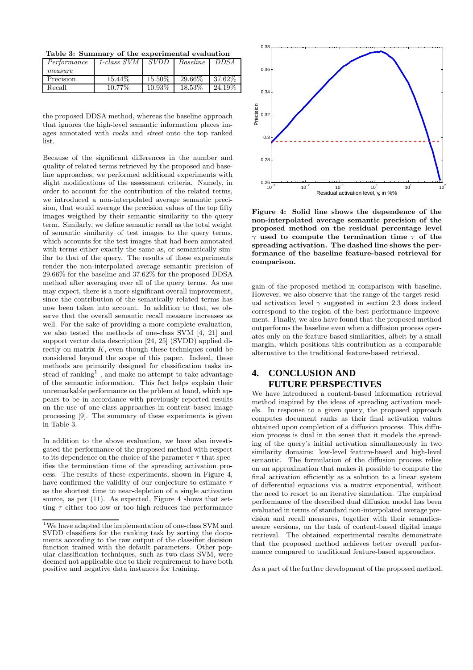Table 3: Summary of the experimental evaluation

| Performance | 1-class $SVM$   $SVDD$ |           | Baseline | DDSA       |
|-------------|------------------------|-----------|----------|------------|
| measure     |                        |           |          |            |
| Precision   | 15.44\%                | 15.50%    | 29.66%   | $137.62\%$ |
| Recall      | $10.77\%$              | $10.93\%$ | 18.53\%  | 24.19\%    |

the proposed DDSA method, whereas the baseline approach that ignores the high-level semantic information places images annotated with rocks and street onto the top ranked list.

Because of the significant differences in the number and quality of related terms retrieved by the proposed and baseline approaches, we performed additional experiments with slight modifications of the assessment criteria. Namely, in order to account for the contribution of the related terms, we introduced a non-interpolated average semantic precision, that would average the precision values of the top fifty images weigthed by their semantic similarity to the query term. Similarly, we define semantic recall as the total weight of semantic similarity of test images to the query terms, which accounts for the test images that had been annotated with terms either exactly the same as, or semantically similar to that of the query. The results of these experiments render the non-interpolated average semantic precision of 29.66% for the baseline and 37.62% for the proposed DDSA method after averaging over all of the query terms. As one may expect, there is a more significant overall improvement, since the contribution of the sematically related terms has now been taken into account. In addition to that, we observe that the overall semantic recall measure increases as well. For the sake of providing a more complete evaluation, we also tested the methods of one-class SVM [4, 21] and support vector data description [24, 25] (SVDD) applied directly on matrix  $K$ , even though these techniques could be considered beyond the scope of this paper. Indeed, these methods are primarily designed for classification tasks instead of ranking<sup>1</sup>, and make no attempt to take advantage of the semantic information. This fact helps explain their unremarkable performance on the prblem at hand, which appears to be in accordance with previously reported results on the use of one-class approaches in content-based image processing [9]. The summary of these experiments is given in Table 3.

In addition to the above evaluation, we have also investigated the performance of the proposed method with respect to its dependence on the choice of the parameter  $\tau$  that specifies the termination time of the spreading activation process. The results of these experiments, shown in Figure 4, have confirmed the validity of our conjecture to estimate  $\tau$ as the shortest time to near-depletion of a single activation source, as per  $(11)$ . As expected, Figure 4 shows that setting  $\tau$  either too low or too high reduces the performance



Figure 4: Solid line shows the dependence of the non-interpolated average semantic precision of the proposed method on the residual percentage level  $\gamma$  used to compute the termination time  $\tau$  of the spreading activation. The dashed line shows the performance of the baseline feature-based retrieval for comparison.

gain of the proposed method in comparison with baseline. However, we also observe that the range of the target residual activation level  $\gamma$  suggested in section 2.3 does indeed correspond to the region of the best performance improvement. Finally, we also have found that the proposed method outperforms the baseline even when a diffusion process operates only on the feature-based similarities, albeit by a small margin, which positions this contribution as a comparable alternative to the traditional feature-based retrieval.

# **4. CONCLUSION AND FUTURE PERSPECTIVES**

We have introduced a content-based information retrieval method inspired by the ideas of spreading activation models. In response to a given query, the proposed approach computes document ranks as their final activation values obtained upon completion of a diffusion process. This diffusion process is dual in the sense that it models the spreading of the query's initial activation simultaneously in two similarity domains: low-level feature-based and high-level semantic. The formulation of the diffusion process relies on an approximation that makes it possible to compute the final activation efficiently as a solution to a linear system of differential equations via a matrix exponential, without the need to resort to an iterative simulation. The empirical performance of the described dual diffusion model has been evaluated in terms of standard non-interpolated average precision and recall measures, together with their semanticsaware versions, on the task of content-based digital image retrieval. The obtained experimental results demonstrate that the proposed method achieves better overall performance compared to traditional feature-based approaches.

As a part of the further development of the proposed method,

<sup>1</sup>We have adapted the implementation of one-class SVM and SVDD classifiers for the ranking task by sorting the documents according to the raw output of the classifier decision function trained with the default parameters. Other popular classification techniques, such as two-class SVM, were deemed not applicable due to their requirement to have both positive and negative data instances for training.